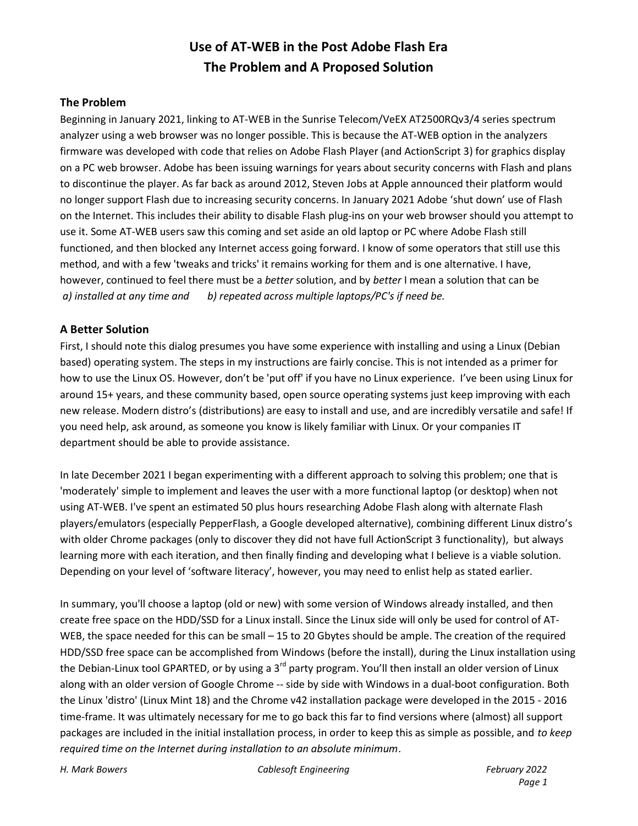# **Use of AT-WEB in the Post Adobe Flash Era The Problem and A Proposed Solution**

#### **The Problem**

Beginning in January 2021, linking to AT-WEB in the Sunrise Telecom/VeEX AT2500RQv3/4 series spectrum analyzer using a web browser was no longer possible. This is because the AT-WEB option in the analyzers firmware was developed with code that relies on Adobe Flash Player (and ActionScript 3) for graphics display on a PC web browser. Adobe has been issuing warnings for years about security concerns with Flash and plans to discontinue the player. As far back as around 2012, Steven Jobs at Apple announced their platform would no longer support Flash due to increasing security concerns. In January 2021 Adobe 'shut down' use of Flash on the Internet. This includes their ability to disable Flash plug-ins on your web browser should you attempt to use it. Some AT-WEB users saw this coming and set aside an old laptop or PC where Adobe Flash still functioned, and then blocked any Internet access going forward. I know of some operators that still use this method, and with a few 'tweaks and tricks' it remains working for them and is one alternative. I have, however, continued to feel there must be a *better* solution, and by *better* I mean a solution that can be *a) installed at any time and b) repeated across multiple laptops/PC's if need be.*

### **A Better Solution**

First, I should note this dialog presumes you have some experience with installing and using a Linux (Debian based) operating system. The steps in my instructions are fairly concise. This is not intended as a primer for how to use the Linux OS. However, don't be 'put off' if you have no Linux experience. I've been using Linux for around 15+ years, and these community based, open source operating systems just keep improving with each new release. Modern distro's (distributions) are easy to install and use, and are incredibly versatile and safe! If you need help, ask around, as someone you know is likely familiar with Linux. Or your companies IT department should be able to provide assistance.

In late December 2021 I began experimenting with a different approach to solving this problem; one that is 'moderately' simple to implement and leaves the user with a more functional laptop (or desktop) when not using AT-WEB. I've spent an estimated 50 plus hours researching Adobe Flash along with alternate Flash players/emulators (especially PepperFlash, a Google developed alternative), combining different Linux distro's with older Chrome packages (only to discover they did not have full ActionScript 3 functionality), but always learning more with each iteration, and then finally finding and developing what I believe is a viable solution. Depending on your level of 'software literacy', however, you may need to enlist help as stated earlier.

In summary, you'll choose a laptop (old or new) with some version of Windows already installed, and then create free space on the HDD/SSD for a Linux install. Since the Linux side will only be used for control of AT-WEB, the space needed for this can be small – 15 to 20 Gbytes should be ample. The creation of the required HDD/SSD free space can be accomplished from Windows (before the install), during the Linux installation using the Debian-Linux tool GPARTED, or by using a 3<sup>rd</sup> party program. You'll then install an older version of Linux along with an older version of Google Chrome -- side by side with Windows in a dual-boot configuration. Both the Linux 'distro' (Linux Mint 18) and the Chrome v42 installation package were developed in the 2015 - 2016 time-frame. It was ultimately necessary for me to go back this far to find versions where (almost) all support packages are included in the initial installation process, in order to keep this as simple as possible, and *to keep required time on the Internet during installation to an absolute minimum*.

*H. Mark Bowers Cablesoft Engineering February 2022*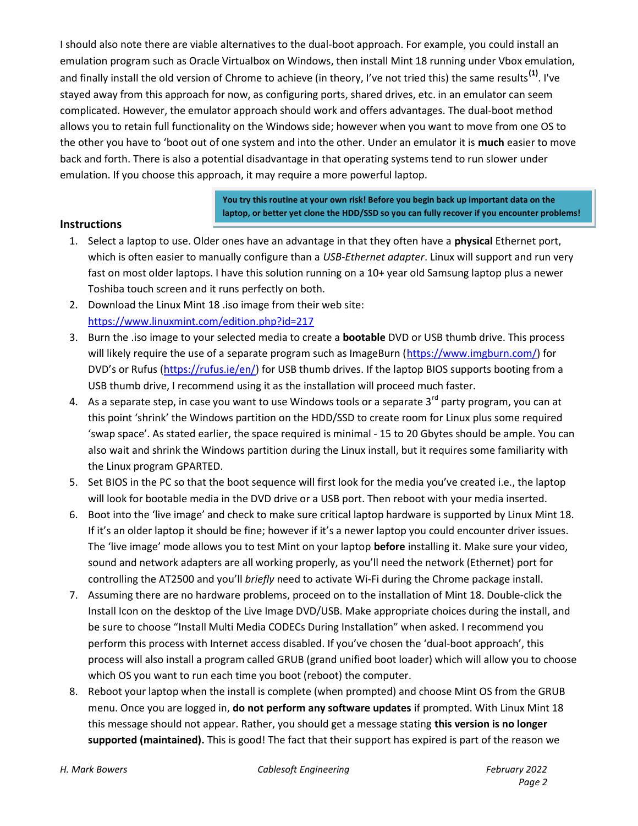I should also note there are viable alternatives to the dual-boot approach. For example, you could install an emulation program such as Oracle Virtualbox on Windows, then install Mint 18 running under Vbox emulation, and finally install the old version of Chrome to achieve (in theory, I've not tried this) the same results**(1)**. I've stayed away from this approach for now, as configuring ports, shared drives, etc. in an emulator can seem complicated. However, the emulator approach should work and offers advantages. The dual-boot method allows you to retain full functionality on the Windows side; however when you want to move from one OS to the other you have to 'boot out of one system and into the other. Under an emulator it is **much** easier to move back and forth. There is also a potential disadvantage in that operating systems tend to run slower under emulation. If you choose this approach, it may require a more powerful laptop.

> **You try this routine at your own risk! Before you begin back up important data on the laptop, or better yet clone the HDD/SSD so you can fully recover if you encounter problems!**

#### **Instructions**

- 1. Select a laptop to use. Older ones have an advantage in that they often have a **physical** Ethernet port, which is often easier to manually configure than a *USB-Ethernet adapter*. Linux will support and run very fast on most older laptops. I have this solution running on a 10+ year old Samsung laptop plus a newer Toshiba touch screen and it runs perfectly on both.
- 2. Download the Linux Mint 18 .iso image from their web site: https://www.linuxmint.com/edition.php?id=217
- 3. Burn the .iso image to your selected media to create a **bootable** DVD or USB thumb drive. This process will likely require the use of a separate program such as ImageBurn (https://www.imgburn.com/) for DVD's or Rufus (https://rufus.ie/en/) for USB thumb drives. If the laptop BIOS supports booting from a USB thumb drive, I recommend using it as the installation will proceed much faster.
- 4. As a separate step, in case you want to use Windows tools or a separate 3 $^{rd}$  party program, you can at this point 'shrink' the Windows partition on the HDD/SSD to create room for Linux plus some required 'swap space'. As stated earlier, the space required is minimal - 15 to 20 Gbytes should be ample. You can also wait and shrink the Windows partition during the Linux install, but it requires some familiarity with the Linux program GPARTED.
- 5. Set BIOS in the PC so that the boot sequence will first look for the media you've created i.e., the laptop will look for bootable media in the DVD drive or a USB port. Then reboot with your media inserted.
- 6. Boot into the 'live image' and check to make sure critical laptop hardware is supported by Linux Mint 18. If it's an older laptop it should be fine; however if it's a newer laptop you could encounter driver issues. The 'live image' mode allows you to test Mint on your laptop **before** installing it. Make sure your video, sound and network adapters are all working properly, as you'll need the network (Ethernet) port for controlling the AT2500 and you'll *briefly* need to activate Wi-Fi during the Chrome package install.
- 7. Assuming there are no hardware problems, proceed on to the installation of Mint 18. Double-click the Install Icon on the desktop of the Live Image DVD/USB. Make appropriate choices during the install, and be sure to choose "Install Multi Media CODECs During Installation" when asked. I recommend you perform this process with Internet access disabled. If you've chosen the 'dual-boot approach', this process will also install a program called GRUB (grand unified boot loader) which will allow you to choose which OS you want to run each time you boot (reboot) the computer.
- 8. Reboot your laptop when the install is complete (when prompted) and choose Mint OS from the GRUB menu. Once you are logged in, **do not perform any software updates** if prompted. With Linux Mint 18 this message should not appear. Rather, you should get a message stating **this version is no longer**  supported (maintained). This is good! The fact that their support has expired is part of the reason we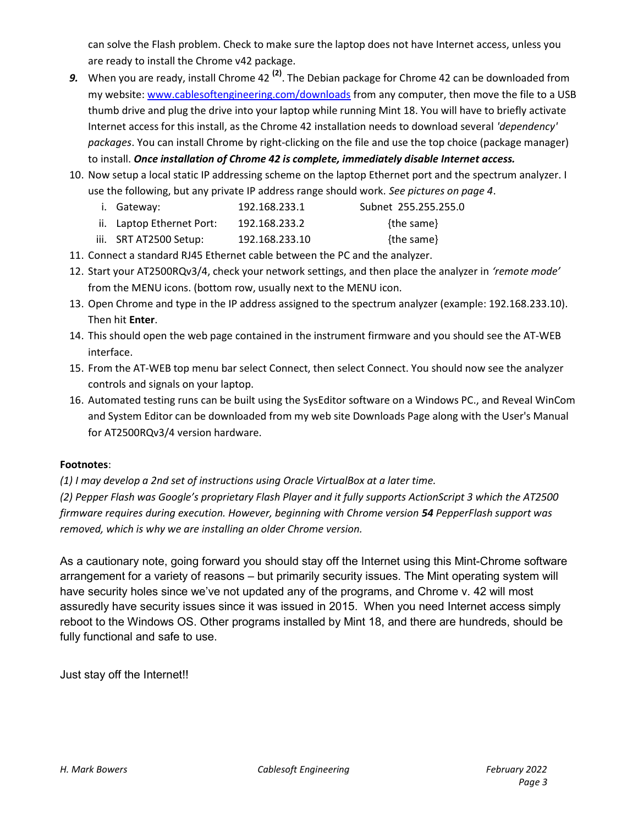can solve the Flash problem. Check to make sure the laptop does not have Internet access, unless you are ready to install the Chrome v42 package.

- *9.* When you are ready, install Chrome 42 **(2)**. The Debian package for Chrome 42 can be downloaded from my website: www.cablesoftengineering.com/downloads from any computer, then move the file to a USB thumb drive and plug the drive into your laptop while running Mint 18. You will have to briefly activate Internet access for this install, as the Chrome 42 installation needs to download several *'dependency' packages*. You can install Chrome by right-clicking on the file and use the top choice (package manager) to install. *Once installation of Chrome 42 is complete, immediately disable Internet access.*
- 10. Now setup a local static IP addressing scheme on the laptop Ethernet port and the spectrum analyzer. I use the following, but any private IP address range should work. *See pictures on page 4*.
	- i. Gateway: 192.168.233.1 Subnet 255.255.255.0
	- ii. Laptop Ethernet Port: 192.168.233.2 {the same}
	- iii. SRT AT2500 Setup: 192.168.233.10 {the same}
- 11. Connect a standard RJ45 Ethernet cable between the PC and the analyzer.
- 12. Start your AT2500RQv3/4, check your network settings, and then place the analyzer in *'remote mode'* from the MENU icons. (bottom row, usually next to the MENU icon.
- 13. Open Chrome and type in the IP address assigned to the spectrum analyzer (example: 192.168.233.10). Then hit **Enter**.
- 14. This should open the web page contained in the instrument firmware and you should see the AT-WEB interface.
- 15. From the AT-WEB top menu bar select Connect, then select Connect. You should now see the analyzer controls and signals on your laptop.
- 16. Automated testing runs can be built using the SysEditor software on a Windows PC., and Reveal WinCom and System Editor can be downloaded from my web site Downloads Page along with the User's Manual for AT2500RQv3/4 version hardware.

## **Footnotes**:

*(1) I may develop a 2nd set of instructions using Oracle VirtualBox at a later time.* 

*(2) Pepper Flash was Google's proprietary Flash Player and it fully supports ActionScript 3 which the AT2500 firmware requires during execution. However, beginning with Chrome version 54 PepperFlash support was removed, which is why we are installing an older Chrome version.*

As a cautionary note, going forward you should stay off the Internet using this Mint-Chrome software arrangement for a variety of reasons – but primarily security issues. The Mint operating system will have security holes since we've not updated any of the programs, and Chrome v. 42 will most assuredly have security issues since it was issued in 2015. When you need Internet access simply reboot to the Windows OS. Other programs installed by Mint 18, and there are hundreds, should be fully functional and safe to use.

Just stay off the Internet!!